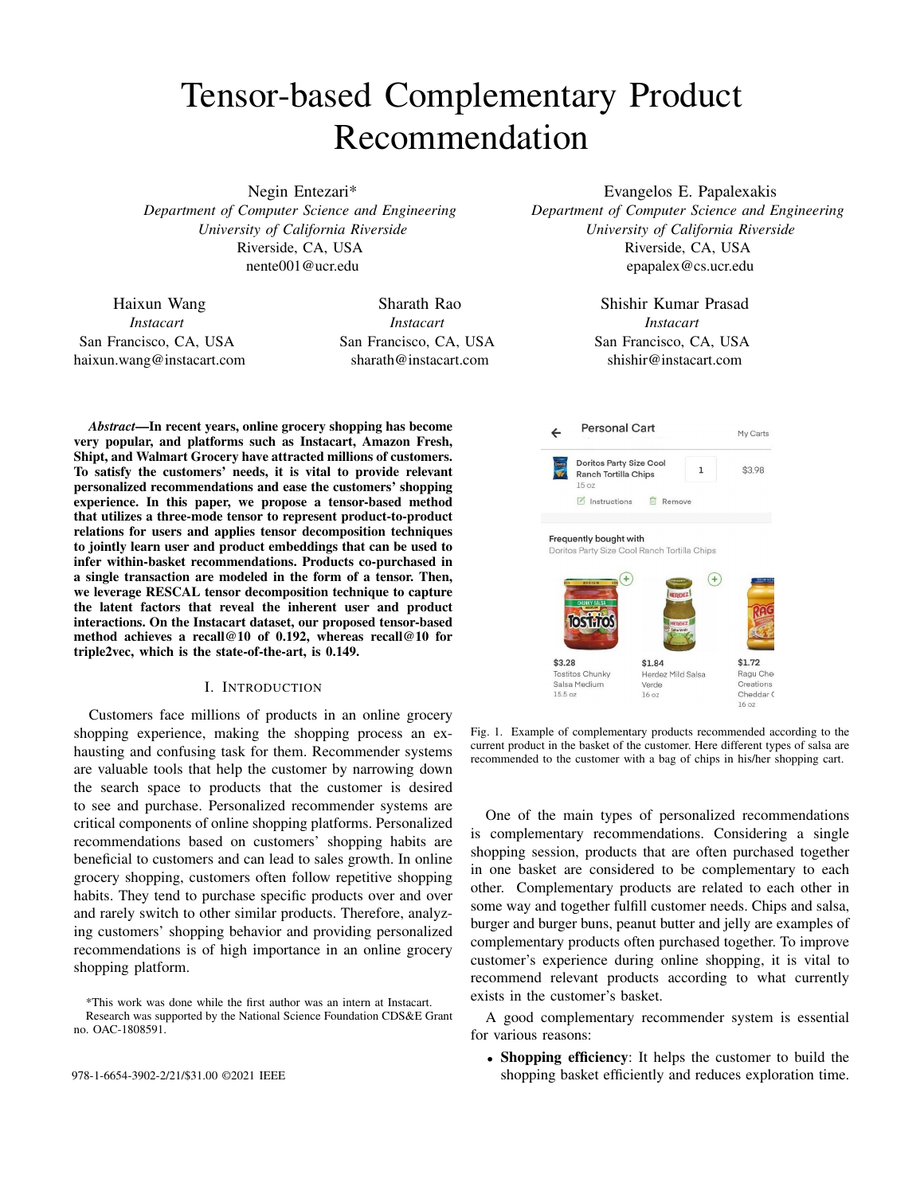# Tensor-based Complementary Product Recommendation

Negin Entezari\* *Department of Computer Science and Engineering University of California Riverside* Riverside, CA, USA nente001@ucr.edu

Haixun Wang *Instacart* San Francisco, CA, USA haixun.wang@instacart.com

Sharath Rao *Instacart* San Francisco, CA, USA sharath@instacart.com

*Abstract*—In recent years, online grocery shopping has become very popular, and platforms such as Instacart, Amazon Fresh, Shipt, and Walmart Grocery have attracted millions of customers. To satisfy the customers' needs, it is vital to provide relevant personalized recommendations and ease the customers' shopping experience. In this paper, we propose a tensor-based method that utilizes a three-mode tensor to represent product-to-product relations for users and applies tensor decomposition techniques to jointly learn user and product embeddings that can be used to infer within-basket recommendations. Products co-purchased in a single transaction are modeled in the form of a tensor. Then, we leverage RESCAL tensor decomposition technique to capture the latent factors that reveal the inherent user and product interactions. On the Instacart dataset, our proposed tensor-based method achieves a recall@10 of 0.192, whereas recall@10 for triple2vec, which is the state-of-the-art, is 0.149.

## I. INTRODUCTION

Customers face millions of products in an online grocery shopping experience, making the shopping process an exhausting and confusing task for them. Recommender systems are valuable tools that help the customer by narrowing down the search space to products that the customer is desired to see and purchase. Personalized recommender systems are critical components of online shopping platforms. Personalized recommendations based on customers' shopping habits are beneficial to customers and can lead to sales growth. In online grocery shopping, customers often follow repetitive shopping habits. They tend to purchase specific products over and over and rarely switch to other similar products. Therefore, analyzing customers' shopping behavior and providing personalized recommendations is of high importance in an online grocery shopping platform.

\*This work was done while the first author was an intern at Instacart. Research was supported by the National Science Foundation CDS&E Grant no. OAC-1808591.

Evangelos E. Papalexakis *Department of Computer Science and Engineering University of California Riverside* Riverside, CA, USA epapalex@cs.ucr.edu

> Shishir Kumar Prasad *Instacart* San Francisco, CA, USA shishir@instacart.com



Fig. 1. Example of complementary products recommended according to the current product in the basket of the customer. Here different types of salsa are recommended to the customer with a bag of chips in his/her shopping cart.

One of the main types of personalized recommendations is complementary recommendations. Considering a single shopping session, products that are often purchased together in one basket are considered to be complementary to each other. Complementary products are related to each other in some way and together fulfill customer needs. Chips and salsa, burger and burger buns, peanut butter and jelly are examples of complementary products often purchased together. To improve customer's experience during online shopping, it is vital to recommend relevant products according to what currently exists in the customer's basket.

A good complementary recommender system is essential for various reasons:

• Shopping efficiency: It helps the customer to build the 978-1-6654-3902-2/21/\$31.00 ©2021 IEEE shopping basket efficiently and reduces exploration time.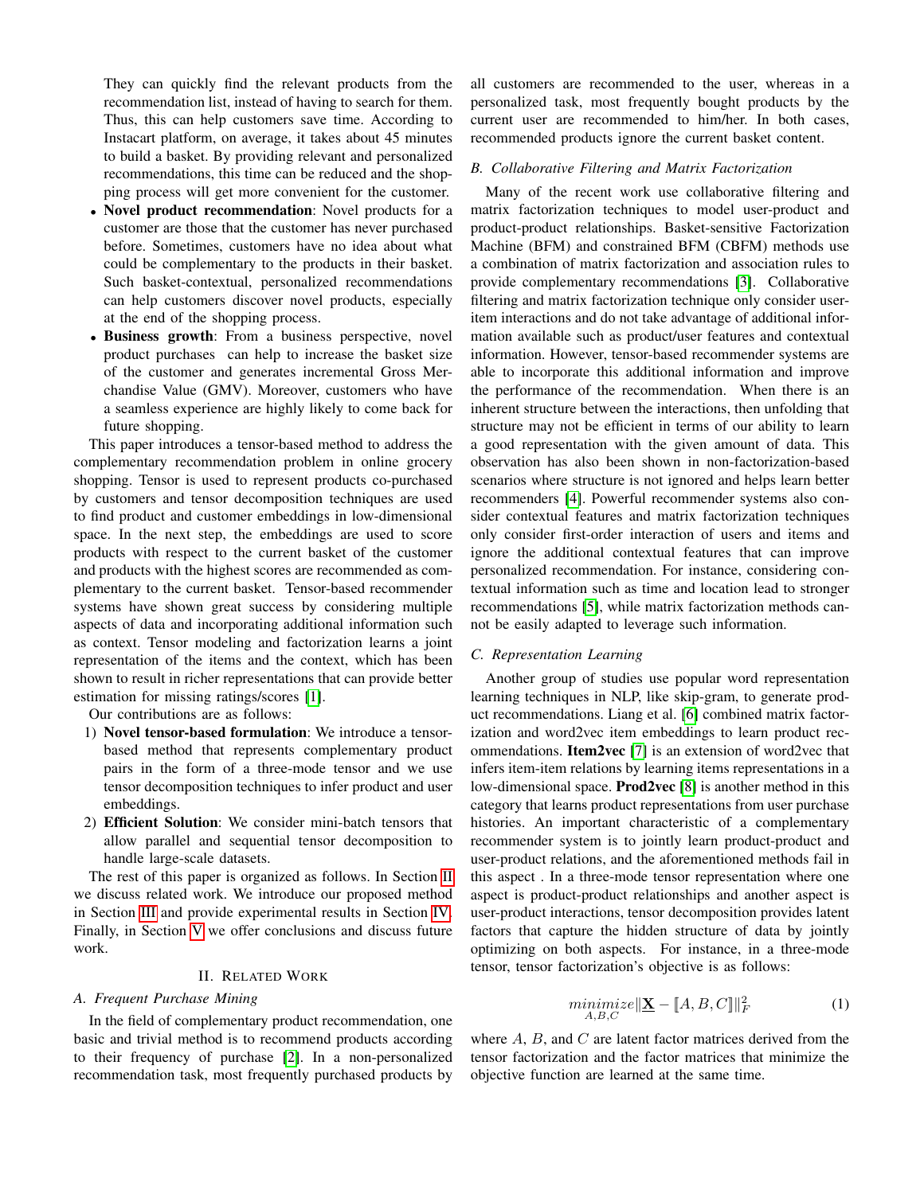They can quickly find the relevant products from the recommendation list, instead of having to search for them. Thus, this can help customers save time. According to Instacart platform, on average, it takes about 45 minutes to build a basket. By providing relevant and personalized recommendations, this time can be reduced and the shopping process will get more convenient for the customer.

- Novel product recommendation: Novel products for a customer are those that the customer has never purchased before. Sometimes, customers have no idea about what could be complementary to the products in their basket. Such basket-contextual, personalized recommendations can help customers discover novel products, especially at the end of the shopping process.
- Business growth: From a business perspective, novel product purchases can help to increase the basket size of the customer and generates incremental Gross Merchandise Value (GMV). Moreover, customers who have a seamless experience are highly likely to come back for future shopping.

This paper introduces a tensor-based method to address the complementary recommendation problem in online grocery shopping. Tensor is used to represent products co-purchased by customers and tensor decomposition techniques are used to find product and customer embeddings in low-dimensional space. In the next step, the embeddings are used to score products with respect to the current basket of the customer and products with the highest scores are recommended as complementary to the current basket. Tensor-based recommender systems have shown great success by considering multiple aspects of data and incorporating additional information such as context. Tensor modeling and factorization learns a joint representation of the items and the context, which has been shown to result in richer representations that can provide better estimation for missing ratings/scores [\[1\]](#page-6-0).

Our contributions are as follows:

- 1) Novel tensor-based formulation: We introduce a tensorbased method that represents complementary product pairs in the form of a three-mode tensor and we use tensor decomposition techniques to infer product and user embeddings.
- 2) Efficient Solution: We consider mini-batch tensors that allow parallel and sequential tensor decomposition to handle large-scale datasets.

The rest of this paper is organized as follows. In Section [II](#page-1-0) we discuss related work. We introduce our proposed method in Section [III](#page-2-0) and provide experimental results in Section [IV.](#page-4-0) Finally, in Section [V](#page-5-0) we offer conclusions and discuss future work.

## II. RELATED WORK

# <span id="page-1-0"></span>*A. Frequent Purchase Mining*

In the field of complementary product recommendation, one basic and trivial method is to recommend products according to their frequency of purchase [\[2\]](#page-6-1). In a non-personalized recommendation task, most frequently purchased products by

all customers are recommended to the user, whereas in a personalized task, most frequently bought products by the current user are recommended to him/her. In both cases, recommended products ignore the current basket content.

# *B. Collaborative Filtering and Matrix Factorization*

Many of the recent work use collaborative filtering and matrix factorization techniques to model user-product and product-product relationships. Basket-sensitive Factorization Machine (BFM) and constrained BFM (CBFM) methods use a combination of matrix factorization and association rules to provide complementary recommendations [\[3\]](#page-6-2). Collaborative filtering and matrix factorization technique only consider useritem interactions and do not take advantage of additional information available such as product/user features and contextual information. However, tensor-based recommender systems are able to incorporate this additional information and improve the performance of the recommendation. When there is an inherent structure between the interactions, then unfolding that structure may not be efficient in terms of our ability to learn a good representation with the given amount of data. This observation has also been shown in non-factorization-based scenarios where structure is not ignored and helps learn better recommenders [\[4\]](#page-6-3). Powerful recommender systems also consider contextual features and matrix factorization techniques only consider first-order interaction of users and items and ignore the additional contextual features that can improve personalized recommendation. For instance, considering contextual information such as time and location lead to stronger recommendations [\[5\]](#page-6-4), while matrix factorization methods cannot be easily adapted to leverage such information.

## *C. Representation Learning*

Another group of studies use popular word representation learning techniques in NLP, like skip-gram, to generate product recommendations. Liang et al. [\[6\]](#page-6-5) combined matrix factorization and word2vec item embeddings to learn product recommendations. Item2vec [\[7\]](#page-6-6) is an extension of word2vec that infers item-item relations by learning items representations in a low-dimensional space. Prod2vec [\[8\]](#page-6-7) is another method in this category that learns product representations from user purchase histories. An important characteristic of a complementary recommender system is to jointly learn product-product and user-product relations, and the aforementioned methods fail in this aspect . In a three-mode tensor representation where one aspect is product-product relationships and another aspect is user-product interactions, tensor decomposition provides latent factors that capture the hidden structure of data by jointly optimizing on both aspects. For instance, in a three-mode tensor, tensor factorization's objective is as follows:

$$
\underset{A,B,C}{minimize} \|\underline{\mathbf{X}} - [A,B,C]\|_{F}^{2} \tag{1}
$$

where  $A$ ,  $B$ , and  $C$  are latent factor matrices derived from the tensor factorization and the factor matrices that minimize the objective function are learned at the same time.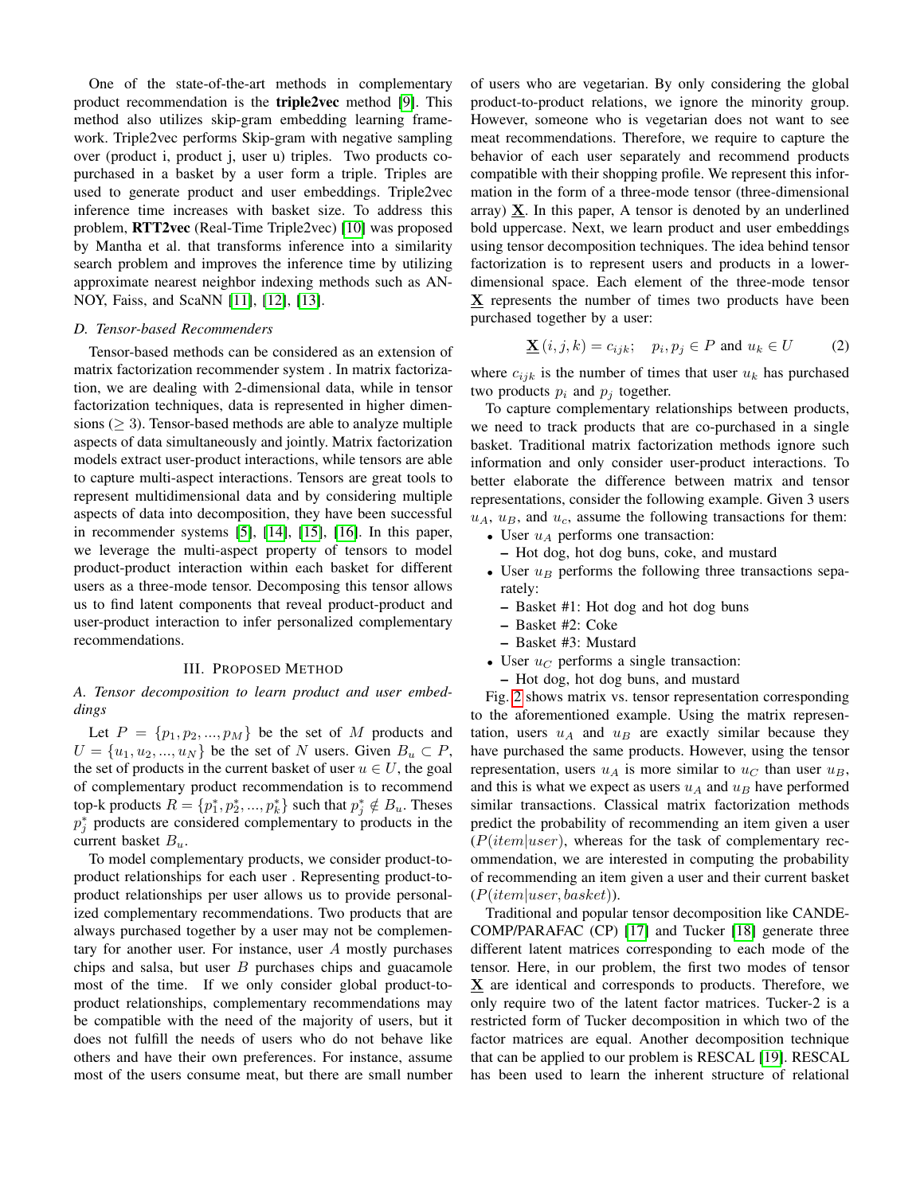One of the state-of-the-art methods in complementary product recommendation is the triple2vec method [\[9\]](#page-6-8). This method also utilizes skip-gram embedding learning framework. Triple2vec performs Skip-gram with negative sampling over (product i, product j, user u) triples. Two products copurchased in a basket by a user form a triple. Triples are used to generate product and user embeddings. Triple2vec inference time increases with basket size. To address this problem, RTT2vec (Real-Time Triple2vec) [\[10\]](#page-6-9) was proposed by Mantha et al. that transforms inference into a similarity search problem and improves the inference time by utilizing approximate nearest neighbor indexing methods such as AN-NOY, Faiss, and ScaNN [\[11\]](#page-6-10), [\[12\]](#page-6-11), [\[13\]](#page-6-12).

#### *D. Tensor-based Recommenders*

Tensor-based methods can be considered as an extension of matrix factorization recommender system . In matrix factorization, we are dealing with 2-dimensional data, while in tensor factorization techniques, data is represented in higher dimensions ( $\geq$  3). Tensor-based methods are able to analyze multiple aspects of data simultaneously and jointly. Matrix factorization models extract user-product interactions, while tensors are able to capture multi-aspect interactions. Tensors are great tools to represent multidimensional data and by considering multiple aspects of data into decomposition, they have been successful in recommender systems [\[5\]](#page-6-4), [\[14\]](#page-6-13), [\[15\]](#page-6-14), [\[16\]](#page-6-15). In this paper, we leverage the multi-aspect property of tensors to model product-product interaction within each basket for different users as a three-mode tensor. Decomposing this tensor allows us to find latent components that reveal product-product and user-product interaction to infer personalized complementary recommendations.

# III. PROPOSED METHOD

# <span id="page-2-0"></span>*A. Tensor decomposition to learn product and user embeddings*

Let  $P = \{p_1, p_2, ..., p_M\}$  be the set of M products and  $U = \{u_1, u_2, ..., u_N\}$  be the set of N users. Given  $B_u \subset P$ , the set of products in the current basket of user  $u \in U$ , the goal of complementary product recommendation is to recommend top-k products  $R = \{p_1^*, p_2^*, ..., p_k^*\}$  such that  $p_j^* \notin B_u$ . Theses  $p_j^*$  products are considered complementary to products in the current basket  $B_u$ .

To model complementary products, we consider product-toproduct relationships for each user . Representing product-toproduct relationships per user allows us to provide personalized complementary recommendations. Two products that are always purchased together by a user may not be complementary for another user. For instance, user A mostly purchases chips and salsa, but user  $B$  purchases chips and guacamole most of the time. If we only consider global product-toproduct relationships, complementary recommendations may be compatible with the need of the majority of users, but it does not fulfill the needs of users who do not behave like others and have their own preferences. For instance, assume most of the users consume meat, but there are small number of users who are vegetarian. By only considering the global product-to-product relations, we ignore the minority group. However, someone who is vegetarian does not want to see meat recommendations. Therefore, we require to capture the behavior of each user separately and recommend products compatible with their shopping profile. We represent this information in the form of a three-mode tensor (three-dimensional array)  $X$ . In this paper, A tensor is denoted by an underlined bold uppercase. Next, we learn product and user embeddings using tensor decomposition techniques. The idea behind tensor factorization is to represent users and products in a lowerdimensional space. Each element of the three-mode tensor X represents the number of times two products have been purchased together by a user:

$$
\underline{\mathbf{X}}(i,j,k) = c_{ijk}; \quad p_i, p_j \in P \text{ and } u_k \in U \tag{2}
$$

where  $c_{ijk}$  is the number of times that user  $u_k$  has purchased two products  $p_i$  and  $p_j$  together.

To capture complementary relationships between products, we need to track products that are co-purchased in a single basket. Traditional matrix factorization methods ignore such information and only consider user-product interactions. To better elaborate the difference between matrix and tensor representations, consider the following example. Given 3 users  $u_A$ ,  $u_B$ , and  $u_c$ , assume the following transactions for them:

- User  $u_A$  performs one transaction:
	- Hot dog, hot dog buns, coke, and mustard
- User  $u_B$  performs the following three transactions separately:
	- Basket #1: Hot dog and hot dog buns
	- Basket #2: Coke
	- Basket #3: Mustard
- User  $u_C$  performs a single transaction:
- Hot dog, hot dog buns, and mustard

Fig. [2](#page-3-0) shows matrix vs. tensor representation corresponding to the aforementioned example. Using the matrix representation, users  $u_A$  and  $u_B$  are exactly similar because they have purchased the same products. However, using the tensor representation, users  $u_A$  is more similar to  $u_C$  than user  $u_B$ , and this is what we expect as users  $u_A$  and  $u_B$  have performed similar transactions. Classical matrix factorization methods predict the probability of recommending an item given a user  $(P(item|user)$ , whereas for the task of complementary recommendation, we are interested in computing the probability of recommending an item given a user and their current basket  $(P(item|user, basket)).$ 

Traditional and popular tensor decomposition like CANDE-COMP/PARAFAC (CP) [\[17\]](#page-6-16) and Tucker [\[18\]](#page-6-17) generate three different latent matrices corresponding to each mode of the tensor. Here, in our problem, the first two modes of tensor X are identical and corresponds to products. Therefore, we only require two of the latent factor matrices. Tucker-2 is a restricted form of Tucker decomposition in which two of the factor matrices are equal. Another decomposition technique that can be applied to our problem is RESCAL [\[19\]](#page-6-18). RESCAL has been used to learn the inherent structure of relational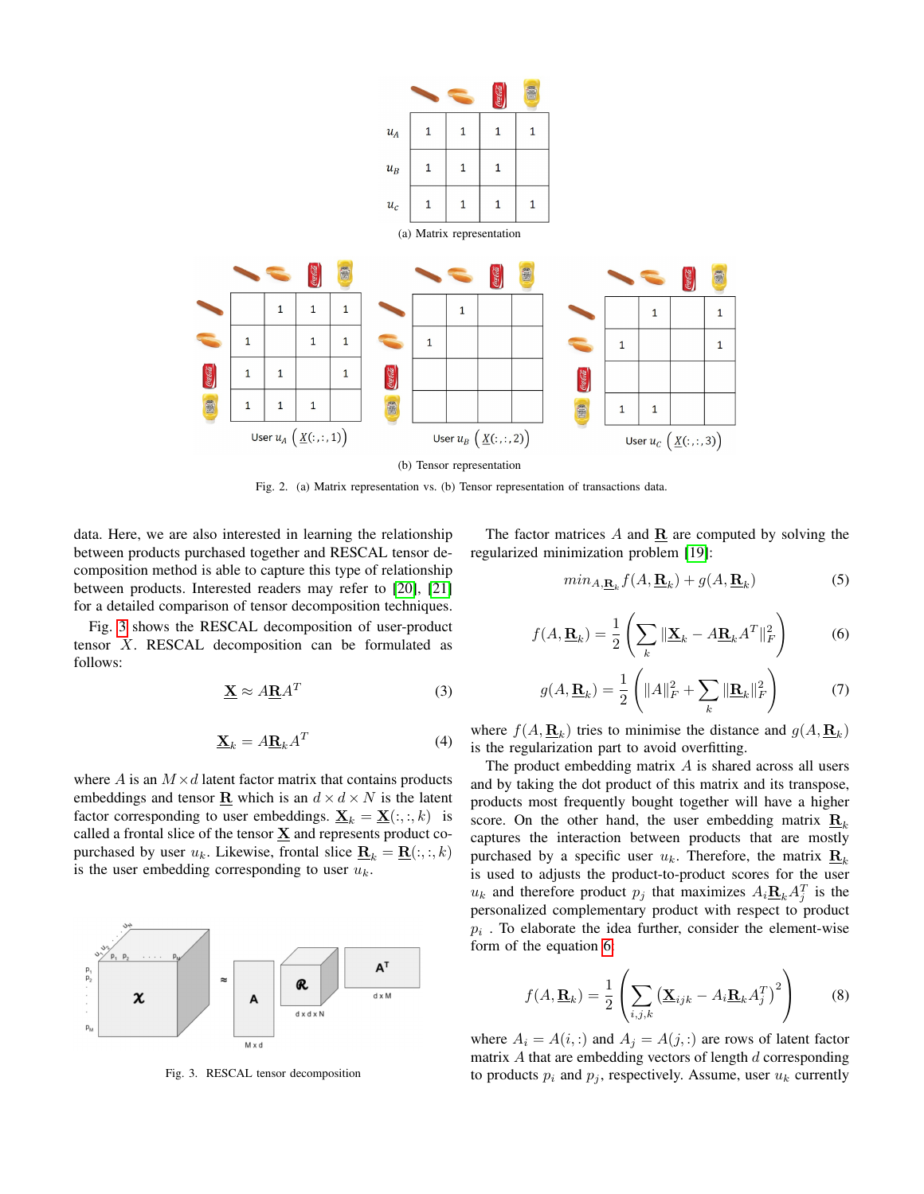

Fig. 2. (a) Matrix representation vs. (b) Tensor representation of transactions data.

data. Here, we are also interested in learning the relationship between products purchased together and RESCAL tensor decomposition method is able to capture this type of relationship between products. Interested readers may refer to [\[20\]](#page-6-19), [\[21\]](#page-6-20) for a detailed comparison of tensor decomposition techniques.

Fig. [3](#page-3-1) shows the RESCAL decomposition of user-product tensor X. RESCAL decomposition can be formulated as follows:

$$
\underline{\mathbf{X}} \approx A \underline{\mathbf{R}} A^T \tag{3}
$$

$$
\underline{\mathbf{X}}_k = A \underline{\mathbf{R}}_k A^T \tag{4}
$$

where A is an  $M \times d$  latent factor matrix that contains products embeddings and tensor **R** which is an  $d \times d \times N$  is the latent factor corresponding to user embeddings.  $\underline{\mathbf{X}}_k = \underline{\mathbf{X}}(:, :, k)$  is called a frontal slice of the tensor  $\underline{X}$  and represents product copurchased by user  $u_k$ . Likewise, frontal slice  $\underline{\mathbf{R}}_k = \underline{\mathbf{R}}(:, :, k)$ is the user embedding corresponding to user  $u_k$ .



Fig. 3. RESCAL tensor decomposition

The factor matrices  $A$  and  $\underline{\mathbf{R}}$  are computed by solving the regularized minimization problem [\[19\]](#page-6-18):

<span id="page-3-0"></span>
$$
min_{A, \mathbf{R}_k} f(A, \mathbf{R}_k) + g(A, \mathbf{R}_k)
$$
\n(5)

<span id="page-3-2"></span>
$$
f(A, \mathbf{\underline{R}}_k) = \frac{1}{2} \left( \sum_k \|\mathbf{\underline{X}}_k - A \mathbf{\underline{R}}_k A^T\|_F^2 \right) \tag{6}
$$

$$
g(A, \underline{\mathbf{R}}_k) = \frac{1}{2} \left( \|A\|_F^2 + \sum_k \|\underline{\mathbf{R}}_k\|_F^2 \right) \tag{7}
$$

where  $f(A, \underline{\mathbf{R}}_k)$  tries to minimise the distance and  $g(A, \underline{\mathbf{R}}_k)$ is the regularization part to avoid overfitting.

The product embedding matrix  $A$  is shared across all users and by taking the dot product of this matrix and its transpose, products most frequently bought together will have a higher score. On the other hand, the user embedding matrix  $\mathbf{R}_k$ captures the interaction between products that are mostly purchased by a specific user  $u_k$ . Therefore, the matrix  $\mathbf{R}_k$ . is used to adjusts the product-to-product scores for the user  $u_k$  and therefore product  $p_j$  that maximizes  $A_i \underline{\mathbf{R}}_k A_j^T$  is the personalized complementary product with respect to product  $p_i$ . To elaborate the idea further, consider the element-wise form of the equation [6:](#page-3-2)

$$
f(A, \mathbf{\underline{R}}_k) = \frac{1}{2} \left( \sum_{i,j,k} \left( \mathbf{\underline{X}}_{ijk} - A_i \mathbf{\underline{R}}_k A_j^T \right)^2 \right)
$$
(8)

<span id="page-3-1"></span>where  $A_i = A(i,:)$  and  $A_j = A(j,:)$  are rows of latent factor matrix  $A$  that are embedding vectors of length  $d$  corresponding to products  $p_i$  and  $p_j$ , respectively. Assume, user  $u_k$  currently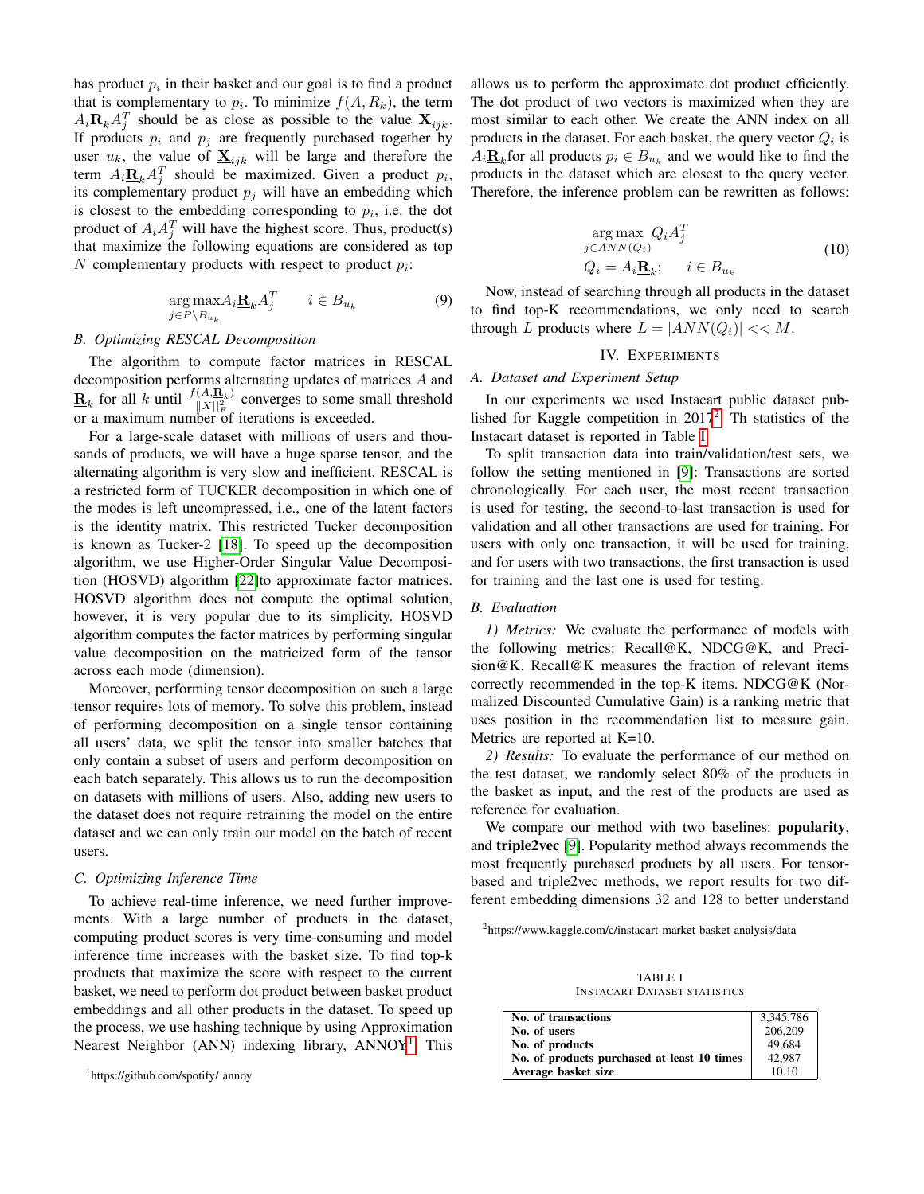has product  $p_i$  in their basket and our goal is to find a product that is complementary to  $p_i$ . To minimize  $f(A, R_k)$ , the term  $A_i \underline{\mathbf{R}}_k A_j^T$  should be as close as possible to the value  $\underline{\mathbf{X}}_{ijk}$ . If products  $p_i$  and  $p_j$  are frequently purchased together by user  $u_k$ , the value of  $\underline{\mathbf{X}}_{ijk}$  will be large and therefore the term  $A_i \underline{\mathbf{R}}_k A_j^T$  should be maximized. Given a product  $p_i$ , its complementary product  $p_i$  will have an embedding which is closest to the embedding corresponding to  $p_i$ , i.e. the dot product of  $A_i A_j^T$  will have the highest score. Thus, product(s) that maximize the following equations are considered as top  $N$  complementary products with respect to product  $p_i$ :

$$
\underset{j \in P \backslash B_{u_k}}{\arg \max} A_i \underline{\mathbf{R}}_k A_j^T \qquad i \in B_{u_k} \tag{9}
$$

## *B. Optimizing RESCAL Decomposition*

The algorithm to compute factor matrices in RESCAL decomposition performs alternating updates of matrices A and  $\underline{\mathbf{R}}_k$  for all k until  $\frac{f(A,\mathbf{R}_k)}{\|X\|_F^2}$  $\frac{(A,\mathbf{R}_k)}{\|X\|_F^2}$  converges to some small threshold or a maximum number of iterations is exceeded.

For a large-scale dataset with millions of users and thousands of products, we will have a huge sparse tensor, and the alternating algorithm is very slow and inefficient. RESCAL is a restricted form of TUCKER decomposition in which one of the modes is left uncompressed, i.e., one of the latent factors is the identity matrix. This restricted Tucker decomposition is known as Tucker-2 [\[18\]](#page-6-17). To speed up the decomposition algorithm, we use Higher-Order Singular Value Decomposition (HOSVD) algorithm [\[22\]](#page-6-21)to approximate factor matrices. HOSVD algorithm does not compute the optimal solution, however, it is very popular due to its simplicity. HOSVD algorithm computes the factor matrices by performing singular value decomposition on the matricized form of the tensor across each mode (dimension).

Moreover, performing tensor decomposition on such a large tensor requires lots of memory. To solve this problem, instead of performing decomposition on a single tensor containing all users' data, we split the tensor into smaller batches that only contain a subset of users and perform decomposition on each batch separately. This allows us to run the decomposition on datasets with millions of users. Also, adding new users to the dataset does not require retraining the model on the entire dataset and we can only train our model on the batch of recent users.

# *C. Optimizing Inference Time*

To achieve real-time inference, we need further improvements. With a large number of products in the dataset, computing product scores is very time-consuming and model inference time increases with the basket size. To find top-k products that maximize the score with respect to the current basket, we need to perform dot product between basket product embeddings and all other products in the dataset. To speed up the process, we use hashing technique by using Approximation Nearest Neighbor (ANN) indexing library, ANNOY<sup>[1](#page-4-1)</sup>. This

```
1https://github.com/spotify/ annoy
```
allows us to perform the approximate dot product efficiently. The dot product of two vectors is maximized when they are most similar to each other. We create the ANN index on all products in the dataset. For each basket, the query vector  $Q_i$  is  $A_i \underline{\mathbf{R}}_k$  for all products  $p_i \in B_{u_k}$  and we would like to find the products in the dataset which are closest to the query vector. Therefore, the inference problem can be rewritten as follows:

$$
\arg\max_{j \in ANN(Q_i)} Q_i A_j^T
$$
  
\n
$$
Q_i = A_i \mathbf{R}_k; \quad i \in B_{u_k}
$$
\n(10)

Now, instead of searching through all products in the dataset to find top-K recommendations, we only need to search through L products where  $L = |ANN(Q_i)| \ll M$ .

### IV. EXPERIMENTS

#### <span id="page-4-0"></span>*A. Dataset and Experiment Setup*

In our experiments we used Instacart public dataset pub-lished for Kaggle competition in [2](#page-4-2)017<sup>2</sup>. Th statistics of the Instacart dataset is reported in Table [I.](#page-4-3)

To split transaction data into train/validation/test sets, we follow the setting mentioned in [\[9\]](#page-6-8): Transactions are sorted chronologically. For each user, the most recent transaction is used for testing, the second-to-last transaction is used for validation and all other transactions are used for training. For users with only one transaction, it will be used for training, and for users with two transactions, the first transaction is used for training and the last one is used for testing.

# *B. Evaluation*

*1) Metrics:* We evaluate the performance of models with the following metrics: Recall@K, NDCG@K, and Precision@K. Recall@K measures the fraction of relevant items correctly recommended in the top-K items. NDCG@K (Normalized Discounted Cumulative Gain) is a ranking metric that uses position in the recommendation list to measure gain. Metrics are reported at K=10.

*2) Results:* To evaluate the performance of our method on the test dataset, we randomly select 80% of the products in the basket as input, and the rest of the products are used as reference for evaluation.

We compare our method with two baselines: **popularity**, and triple2vec [\[9\]](#page-6-8). Popularity method always recommends the most frequently purchased products by all users. For tensorbased and triple2vec methods, we report results for two different embedding dimensions 32 and 128 to better understand

<span id="page-4-3"></span><span id="page-4-2"></span><sup>2</sup>https://www.kaggle.com/c/instacart-market-basket-analysis/data

TABLE I INSTACART DATASET STATISTICS

| No. of transactions                         | 3,345,786 |
|---------------------------------------------|-----------|
| No. of users                                | 206,209   |
| No. of products                             | 49.684    |
| No. of products purchased at least 10 times | 42.987    |
| Average basket size                         | 10.10     |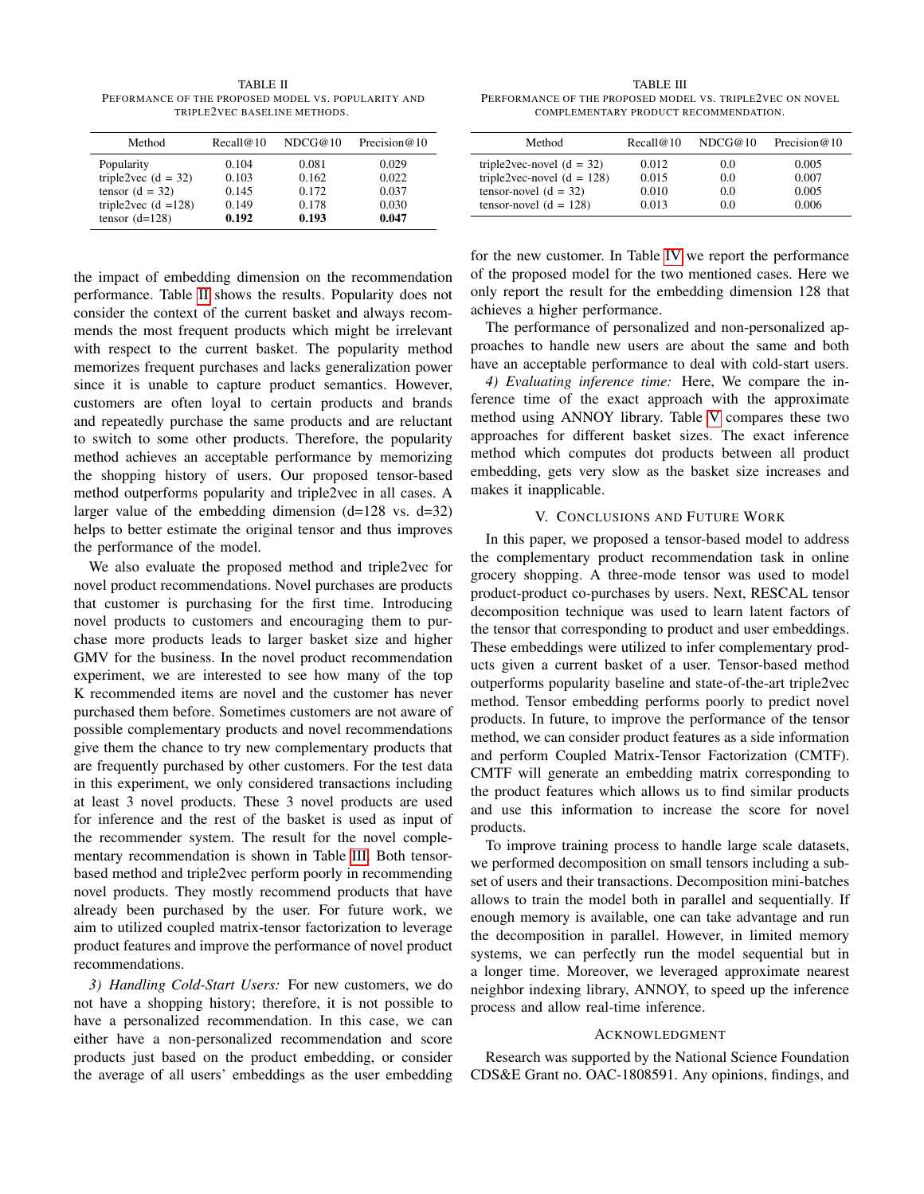<span id="page-5-1"></span>TABLE II PEFORMANCE OF THE PROPOSED MODEL VS. POPULARITY AND TRIPLE2VEC BASELINE METHODS.

| Method                 | Recall@10 | NDCG@10 | Precision $@10$ |
|------------------------|-----------|---------|-----------------|
| Popularity             | 0.104     | 0.081   | 0.029           |
| triple2vec $(d = 32)$  | 0.103     | 0.162   | 0.022           |
| tensor $(d = 32)$      | 0.145     | 0.172   | 0.037           |
| triple2vec $(d = 128)$ | 0.149     | 0.178   | 0.030           |
| tensor $(d=128)$       | 0.192     | 0.193   | 0.047           |

the impact of embedding dimension on the recommendation performance. Table [II](#page-5-1) shows the results. Popularity does not consider the context of the current basket and always recommends the most frequent products which might be irrelevant with respect to the current basket. The popularity method memorizes frequent purchases and lacks generalization power since it is unable to capture product semantics. However, customers are often loyal to certain products and brands and repeatedly purchase the same products and are reluctant to switch to some other products. Therefore, the popularity method achieves an acceptable performance by memorizing the shopping history of users. Our proposed tensor-based method outperforms popularity and triple2vec in all cases. A larger value of the embedding dimension  $(d=128 \text{ vs. } d=32)$ helps to better estimate the original tensor and thus improves the performance of the model.

We also evaluate the proposed method and triple2vec for novel product recommendations. Novel purchases are products that customer is purchasing for the first time. Introducing novel products to customers and encouraging them to purchase more products leads to larger basket size and higher GMV for the business. In the novel product recommendation experiment, we are interested to see how many of the top K recommended items are novel and the customer has never purchased them before. Sometimes customers are not aware of possible complementary products and novel recommendations give them the chance to try new complementary products that are frequently purchased by other customers. For the test data in this experiment, we only considered transactions including at least 3 novel products. These 3 novel products are used for inference and the rest of the basket is used as input of the recommender system. The result for the novel complementary recommendation is shown in Table [III.](#page-5-2) Both tensorbased method and triple2vec perform poorly in recommending novel products. They mostly recommend products that have already been purchased by the user. For future work, we aim to utilized coupled matrix-tensor factorization to leverage product features and improve the performance of novel product recommendations.

*3) Handling Cold-Start Users:* For new customers, we do not have a shopping history; therefore, it is not possible to have a personalized recommendation. In this case, we can either have a non-personalized recommendation and score products just based on the product embedding, or consider the average of all users' embeddings as the user embedding

<span id="page-5-2"></span>TABLE III PERFORMANCE OF THE PROPOSED MODEL VS. TRIPLE2VEC ON NOVEL COMPLEMENTARY PRODUCT RECOMMENDATION.

| Method                       | Recall@10 | NDCG@10 | Precision $@10$ |
|------------------------------|-----------|---------|-----------------|
| triple2vec-novel $(d = 32)$  | 0.012     | 0.0     | 0.005           |
| triple2vec-novel $(d = 128)$ | 0.015     | 0.0     | 0.007           |
| tensor-novel $(d = 32)$      | 0.010     | 0.0     | 0.005           |
| tensor-novel $(d = 128)$     | 0.013     | 0.0     | 0.006           |

for the new customer. In Table [IV](#page-6-22) we report the performance of the proposed model for the two mentioned cases. Here we only report the result for the embedding dimension 128 that achieves a higher performance.

The performance of personalized and non-personalized approaches to handle new users are about the same and both have an acceptable performance to deal with cold-start users.

*4) Evaluating inference time:* Here, We compare the inference time of the exact approach with the approximate method using ANNOY library. Table [V](#page-6-23) compares these two approaches for different basket sizes. The exact inference method which computes dot products between all product embedding, gets very slow as the basket size increases and makes it inapplicable.

#### V. CONCLUSIONS AND FUTURE WORK

<span id="page-5-0"></span>In this paper, we proposed a tensor-based model to address the complementary product recommendation task in online grocery shopping. A three-mode tensor was used to model product-product co-purchases by users. Next, RESCAL tensor decomposition technique was used to learn latent factors of the tensor that corresponding to product and user embeddings. These embeddings were utilized to infer complementary products given a current basket of a user. Tensor-based method outperforms popularity baseline and state-of-the-art triple2vec method. Tensor embedding performs poorly to predict novel products. In future, to improve the performance of the tensor method, we can consider product features as a side information and perform Coupled Matrix-Tensor Factorization (CMTF). CMTF will generate an embedding matrix corresponding to the product features which allows us to find similar products and use this information to increase the score for novel products.

To improve training process to handle large scale datasets, we performed decomposition on small tensors including a subset of users and their transactions. Decomposition mini-batches allows to train the model both in parallel and sequentially. If enough memory is available, one can take advantage and run the decomposition in parallel. However, in limited memory systems, we can perfectly run the model sequential but in a longer time. Moreover, we leveraged approximate nearest neighbor indexing library, ANNOY, to speed up the inference process and allow real-time inference.

# ACKNOWLEDGMENT

Research was supported by the National Science Foundation CDS&E Grant no. OAC-1808591. Any opinions, findings, and